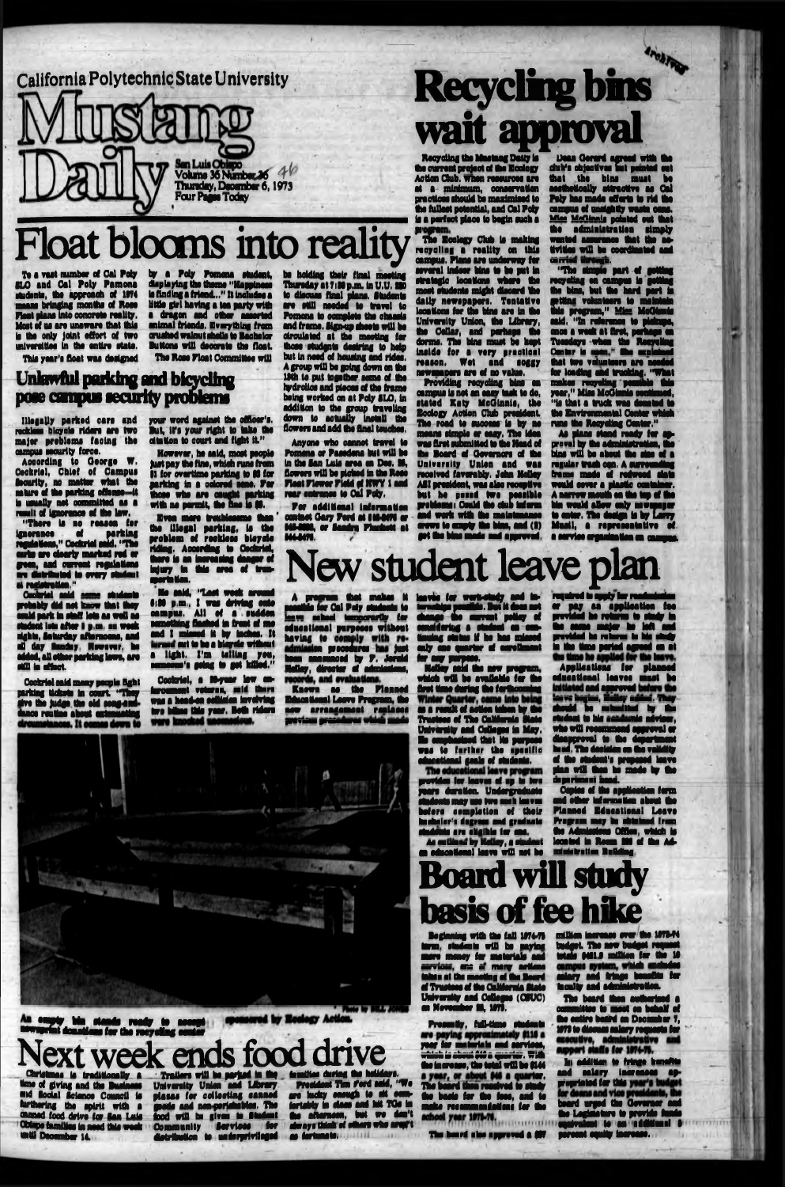**New student leave plan**

**wait approval**



## **Board will study basis of fee hike**

# **Float blooms into reality**

### **Unlawful parking and bicycling pose cmpui security problems**

**"Tho rinapio part of getting rooyolini on eunpua is fwdtlnc (ho Mas, but tho bard part is —tans votuntooro to maintain Shis program," Miez McGianis said. "In rafaronos to piokupa, onoo s wssh at first, pariisps on Tuesdays whin tho Reeveling** Cantor is **ooon "** Sho noiainod **that two voluntoora art noodsd tor loading and tanking. "What mskas recycling pmubls this year," Miss MoOimis oonUnuad, "is ttuit s tuck was donated to** the Environmental Center wh **runs tho Rooyatiag Cenlor."**

program.<br>The Ecology Club is making recycling a reality on this asmpuo. Plans are undsrway tor several indoor bins to bo put in strategio locations where the most studsnls might discard too daily newspapers. Tentative looattona for tha Wits are in Mm Unlvoralty Union, tho Library, tho Collar, and porhaps tho dorms. The bins must be kept Insido for s vary practical reason. Wot and soggy nowaasDore are of no valuo.

> **As piano itand ready for approval by tho administration, tho bine will bo about tho stos of s regular trash ogn, A surroundinc frame mads of redwood ilahi would oovtr a plastic oontainsr. A narrow rnsutli oa tho tap of I m bin would allow only nswspapg to onto. Tho dsttp Is by Larry Musll, • roprasantatiro of** a aorrioa organlssisa « ouapus.

bo bolding thoir final mooting Thursday at 7:30 p.m. in U.U. 200 to discuss final plans. Students are still noodsd to travel to Pomona to complete the chassis and frame. Bign-up shoots will be droulatad st tha moetlng for those otudgnto desiring to help but in nsod of housing and ridss. A group will bo foing down on tho lfth to put togothsr oomo of Iho hydrolioi and pieooo of tho frame being worked on st Pdy ILO, in addition to tho group traveling down to actually install the flowers and add the final touches.

Recycling the Maotnag Daily is (ha current project of tho Ecology Action Club, when resources are at a minimum, conservation practiooo ihould bo maahniiod to tho fulloot potontial, and Cal Poly is a porf act plaoo to bogln suob a

by a Pdy Pomona student, displaying tho thorns "Happinooo Is finding a friend..." It Includes a Uttls girl having a tea party with a dragon and other assorted animal friends. Everything from crushed walnut shells to Bachelor Buttons will decorate the float. The Rose Float Committee will

However, ho said, most people Just pay ths fins, which runs from |l for overtime parking to M for parking la a colored sons. Par Bioss who are sought parking with no permit, the fine is \$8.

Even mere troublessme than the lilegal parking, is the prehlsm of rssklsss bioyolo riding. According to Oschrid, thaw is sa Incrossing danger of Injury In (Ms area of transportation.

He said, "Last wadi around 6:30 p.m., I was driving onto campus. All of a saddsa something flashed in front of me and I missed it by inches. It was well to be a bisyste without s light. I'm telling you, sameone's geing to got killed."

Capital, a Myaar low onforoommt veteran, said there was a haad-on ooikiden invelving two bilina this year. Both ridors<br>were imagined unconscious.

Providing reoyollng Mas sa campus is not an easy task to do, stated Koty MoOianio, tho Eodogy Action Club prasidmt. Tho road to sucoooo Is by ao moarw simple or easy. The Idas was first submitted to tha Haad of tho Board of Oevarnore of tha University Union and was reooivod favorably. John Moltay All praaidmt, was also raoopUvo but hs posed two posslbls proMsmoi Could ths dub Inform **. sad wort with Iho maintenance crows tc empty tho Mas, and (I) got toe Mas made and approvad.**

M We a Gererd agreed with the *district agreed with the* **that tha bina muat ha aaathattoaUy attreottva as Gal M y has aado afford to rid iM campus of unslfhtly wasto cans, Man McGinnis pointed out that tho administration simply wanted assurance that tho aottridos will bo ooordiaatod sad** amid Urugi.

Aooordlng to Ooorgo W. Cookrtol, Chief of Campus Soeurily, no matter what tho nsture of the parking offense it Is usually net committed as a result of ignorance of the law.

"There Is as reason for ignorance of parking rogriadoas," Coohrid said. "The curbs are clearly marked red or green, and current regulations ere distributed to eve*Ty* ekidant Bl registration."

Cocivtet and seme students probably did not know that they oould park in staff lots as well as otadat lots after # p.m. on wash nights, gaturday afternoons, sad ell day Sunday. Howovtr, ho dded, all other parking laws, are Mil in offsot.

> **Known as tha Flaaaad Eduoattonal Leave Program, the** nov affangement <mark>reniaeee</mark><br>Worken greenhou viden ment povinu prese

**Holley said ths new propwm, which will ba avadaklo** *Im* **Me flat Has during f a f srthooraiiqi a a raaltsf aottantakonky Mm Truataa of Iks California Mala Univarsity tad Coilaga in Mm. Ns ompharinad that id purpoa** WPS **to** further **the** specific **and and seals of students.<br>The educational leave program** 

Anyone who cannot travd to Pomona or Pasodons but will ba in tho Ian Lula ares on Doe. M, flowers will be picked in the Rose Float Flower Field of HWY 1 and roar entranoo is Cal Poly,

> required to apply for rendmiorion or pay M application fas providad ha rehma to study In too aaaa majg ha Ml and provided he returns to his study to the time ported agreed on al **Applications for planne** eduoational laves muat ha and approved have **kaçim**, finikey addını. They ritotdd bo submitted by the student to his nandsmis advisor, will recommend approval or<br>repproval to the department disapproval to the department heed. Tho deoirion an tfn validity of too iludonl'a propoad lave ptaa will toa bo aado by too da parimani baad.

**Par sdditloaal information oontsot Oary ford at Id MW or NMM, or landra Plunkett at** M4447I.

> Coptes of the application form and atom informatton about too



— pty M i stands rwady to nauspl www.wriat donations for the recycling conter

**All Color Late** 

week ends food drive

Beginning wlft tho fall 1974-TB ttrm. students will he paying more money for matorlals and wism, are of many article inhes at the mosting of the Board ri Trustees of toa California Mate University and Colleges (CBUC) an Nevember M, 1979.

To a vast number of Cal Pdy gLO and Cal Poly Pomona students, ths approach of 1174 moans bringing months of Rose float plans into oonorsto reality. Most of us are unaware that this Is tho only Joint effort of two universities In ths entire state.

This year's float was designed

Pro sandy, fuli-tims students are paying approximately \$116 a.<br>year for maturists and gervices,<br>which is about foirs quarter. With the insranse, the total will be (14)  $\,$ The beard then reselved to study the basis for the foos, and to make recommandations for the achool year 1971-76.

The board also approved a SFT

your word against Iho offioor's. But. it's your right to take the citation to oourt and fight it"

> **Tbs beard tha autoorlaad a osnaltta la meat a tohalf of** the entire board an December 7, **M73** to discuss salary requests for<br>executive, administrative and<br>apport staffs for 1974-75.

**be addition to fringe kensitie** and salary increases appropriated for this **board urged tha Oavamr and too Ughatura to pravido bads oqMvalont to an sddttlasl I** percent coulty increase.

Christmas is traditionally a time of giving and the Busine ■M tooial loianoa Counoil la furthering the spirit with a **Channel food drive for San Luis** Odupe families in need this week » d l Dooomhg 14,

tomities during the helidays. President Tim Ford said, "We are kicky enough te ait asm\* tortebty In Msm and Mi TO« in toa aftarnoon, but wa don't always think of otoort who artyft as fortunets. *a mi*

red by Reclagy Actio

Illegally parkad ears sad rookleos bicycle riders are two major problems fsotag tbs ounpus security force.

Oookrid said many people fight parking tickets la oourt "They rivs tha Judge ths old song and duos routine about mtmuallng

**A progam Mat maka it domIMs for Oil poly ptudralf to Im m school tonooruib for adueational purposes without ha v tog mi\* 9 ms3ures Jaat bam snnsunosd by F, Jerald HaMey, director d admlarions,**

**iavka fa wykMudy and to**ternahipu pondiklo. But it does not **r** the surrent policy of<br>aring a statent on our**amridartyg a student a am> dnuing status if hs h a ndaasd only one quarter of strollmant Mr any purpaa,**

provtdee for leevee of up tc two **yaars duration. Undergraduate students may ua two** ouch leaves **before completion of thoir** bachelor's degrom and graduate studdute are eligihlo for one. *am*ouuinoa oy **nouoy,** i ooiooni *m* **eduooaonal lava will not bo**

Planned Eduoational Leave Program may be obtained from too Atoniariana Offloo, which is located in Rosan Mi of the A ministration Building,

**mUha tooreaa orar toa IfTBSt** tudget. The new budget request 0461.9 million for the 1 anlary and fringe bansflits for faculty and atonhdatyatlan,

. - Traitors will ba pariwd in fiif University Union and library pisses far ooHseting canned goods and non psrishabia , The toed will bs given to Student Community **Services** for dtotrlbutlon la undarprivilagad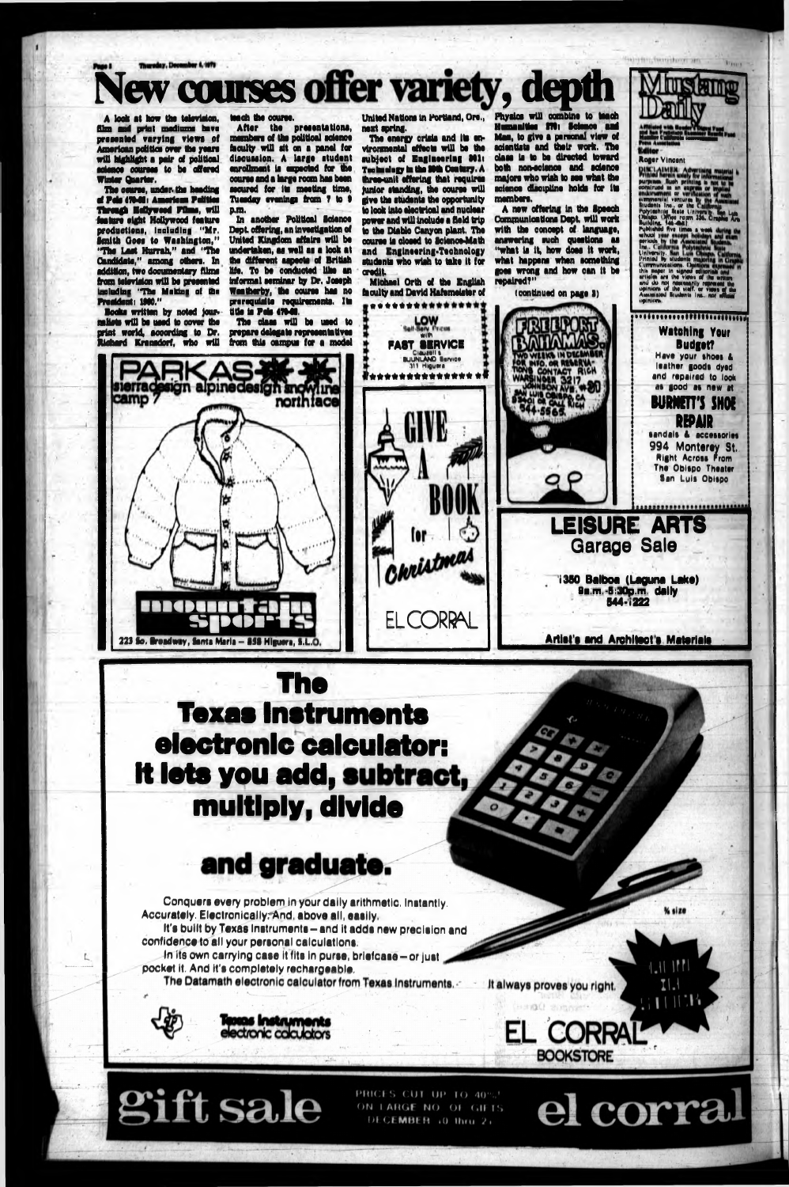**BOOKSTORE**

 $I.$ 

el corral

 $11136$ 

# **New courses offer variety, depth**

A look at how the television, film and print mediums have prooontod varying vlowi of American politics over the years will highlight a pair of pollttoal odonoo oourooa to bo offorod Winter Quarter.

The oourao, under the heading of Pda STMSi American PoUtloa Tkreagk HaOywood POms, will feature eight Hollywood feature produotlona, including "Mr. Smith Oooa to Washington," "Tho Loot Hurrah," and "Um Candidate," among othora. In addition, two documentary fUma from television will bo proaantod Including "Tho Making of tho Proaidont: 1900."

Books written by noted jour. naUata will bo uood to oover tho print world, according to Dr. Hiehard Kranadorf, who will

camp 7

In another Polltloal Idonoo Dept offering, an Invoatlgatlon of United Kingdom affairs will be undertaken, ao wall aa a look at the different aspects of British Ufa. To bo conducted like an Informal seminar by Dr, Jooeph Weather by, the oouree haa no prerequisite requirements. Its title is Pois 470-00.

**S | l « l iae-§** 223 So. Broadway, Santa Maria - 858 Higuera, S.L.i

loach tho oourao.

After tho proaontatloni, mambora of tho political odonoo faculty will alt on a panol for discussion. A large student enrollment is expected for the oourao and a largo room haa boon secured for its meeting time, Tuesday evenings from 7 to 9 p.m.

The energy orisis and its envtronmental affects will be the subject of Engineering 801: Technology in the Mth Century. A three-unit offering that requires junior standing, the course will give Um students the opportunity to look Into electrical and nuclear power and will include a field trip to tho Diablo Canyon plant. The oourao la closed to Idonoe-Math and Engineering-Technology students who wish to take It for credit.

United Nations in Portland, Ore., Physics will combine to teach Humaaltioo BTSi (dance aad Man, to give a personal viaw of acientists and their work. The daaa la to be directed toward both non-ecienoe and Balance majors who wish to see what the science discipline holds for Its members.

A new offering In the Ipeech Communications Dept, will work with Um oonoopt of language, answering such questions as "what la It, how doss It work, what happens whan something goes wrong and how can it be repaired?"

Um daaa will bo used to prepare delegate representatives from this campus for a model

sierradesign alpinedesign and wilne

next spring.

purci AIMER: Adverti MMMIriNii *m* » n ---------- or v.mmtrvial ttniurn la Diuwnia Ira . or the ( \_\_\_\_\_ **«&£\*\*\*\*** a Ml flv\* i lira\* « *wmk* \* ......................................... whool year accept holidays and during the University. Similarly contained the University of the Communications. California Communications. California Communications. California Communications. California and during the vie ia pinistra de la propincia de la propincia de la propincia de la propincia de la propincia de la propincia de MMIMMiiMMMUaMMMtt

> Watching Your BudgotT Have your shoes & leather goods dyed and repaired to look as good as new at **BURNETT'S SHOE**

Conquers every problem in your daily arithmetic. Instantly. Accurataly. Electronically; And, abova all, aaally,

Michael Orth of tho English faculty and David Hafomalatar of woOWOWW



(continued on pago I)

**LEKS IN DECEM** 



SlmW, (dStanlL

Roger Vlneem

**REPAIR** sandals & accessories 994 Monterey St. Right Across Prom Tho Obispo Theater San Luis Obispo

.................



9**a.m.-**5**:**30**p.m. dally** 844-1222

It's built by Texas Instruments-and It adda new precision and confidence to all your personal calculations.

In its own carrying case it fits in purse, briefcase - or just pocket it. And it's completely rechargeable.

The Datamath electronic calculator from Texas Instruments,



ft sale

PRICES CUT UP TO 40%' ON LARGE NO. OF GIFTS DECEMBER 10 thru 21

It always proves you right.

(Hand C) stringers

**EL CORRA** 



### and graduate.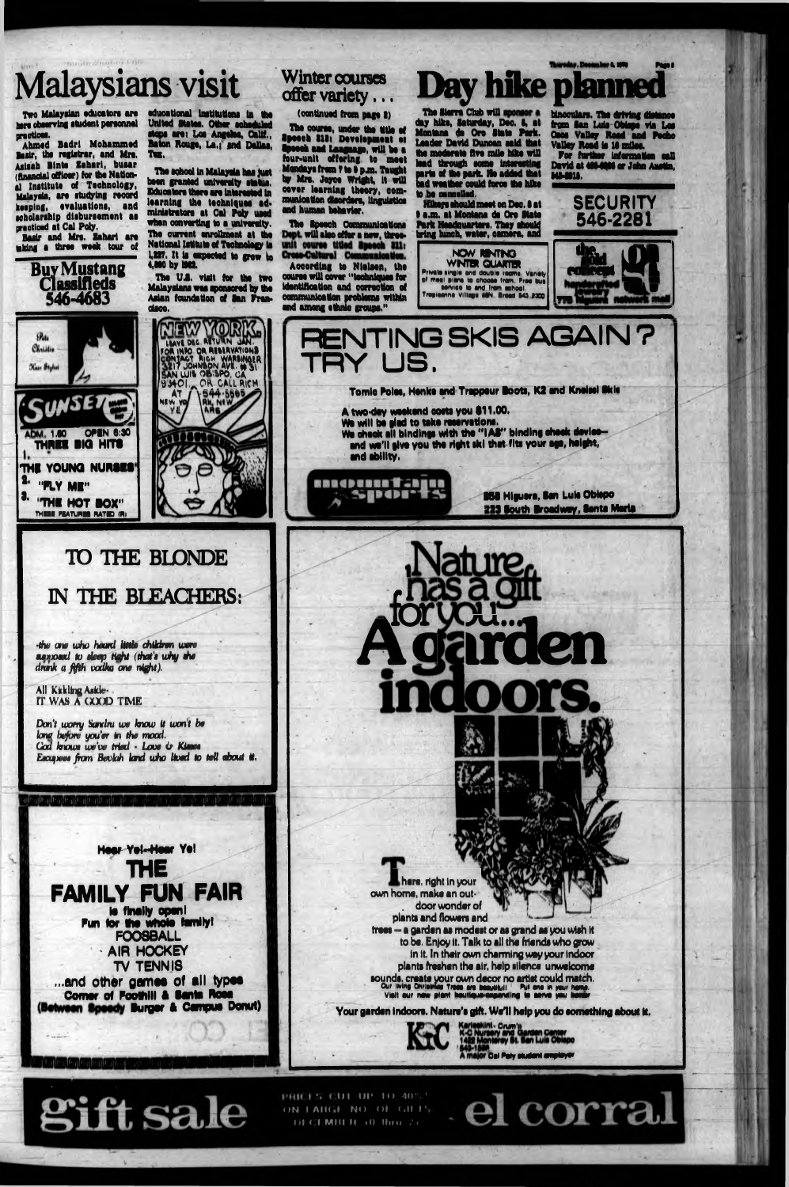# **Malaysians visit**

Two Malaysian oduoators art here observing student personnel practices.

Basir and Mrs. Zahari are taking a three weak tour of

Ahmed Badri Mohammad Basir, the registrar, and Mre. Aalaah Binto Zaharl, buaar (financial officer) for the National Institute of Technology, Malayala, ara atudylng raoord keeping, avaluatlona, and Mholarahlp dlaburaamant aa practiced at Cal Poly.

educational institutions in the United States. Other sche tops are: Los Angeles, Calif., Baton Rouge, La.; and Dallas, Tax,

The school In Malayala haa fust been granted university status. **Educators there are interested in** learning the techniques administrators at Cal Poly used when converting to a university. The current enrollment at the National Iadtuta of Technology Is 1,227. It is expected to grow to 1,200 by 1982.

Buy Mustang **Classifieds 546-4683**

The U.S. visit for the two Malaysians was sponsored by the Aslan foundation of Ian Pran\* daoo.

The course, under the title of 8peech 818: Development at %aech and Language, will be a four-unit offering to meet Mondays from Tie I pm . Taught by Mrs, Joyce Wright, It will oover learning theory, communication disorders, linguistics and human behavior.

The Speech Communications will also offer a new, throe-  $\,$ 

The Sierra Club will sponsor a day hike, Saturday, Dec. I, at Montana da Ore State Park. Loader David Dunoan said that the moderate five mile hike will lead through some interesting parts of the park. He added that bad weather oould force tha hike to ha cancelled.

Day hike plann

#### **Winter courses offer variety...**

(continued from page I)

**NCW RBMTNO WINTER QUARTER rrlvsls itnQid and doublt room\* Van\*!/ •I maai plana to chooaa Iran fraa bua Mfviea to and tram aehool.** Tropioanna Village SON, Broad 543, 2300

*•the aw who heard little children were wxnxwd to deep tiefti (thuti why* **she** drank a *fifth* vodku one night).

All Kitkling Aside-IT WAS A COOD TIME

 $\epsilon$ ill'-iill'-iill'-iille-iille-iille-iill

(Okays should meet on Dso. I at • am . at Montana do Oro State Park Hondouarters. They should bring lunch, water, camera, and

.hare, right In your own home, make an out- . door wonder of plants and flowers and treat - a garden as modest or as grand as you wish it to be, En)oy It. Talk to all the friends who grow In It. In their own charming way your Indoor plants freshen tha air. help silence unwelcome sounds, create your own decor no artist could match.<br>Our living Christmas Trees are beautiful! Put one in your hame.<br>Vielt our now plant boulique expanding to serve you becar.

Your garden indoors. Nature's gift. We'll help you do something about it.



binoculars. The Wiving distance *tm* Ian Luis Obfapo via Lea Oaos Valley Road and Pocho Valley Road is II miles.

ram i <mark>Pag</mark>o

fo r further Information oaU David at 4MMM or John Austin, **MI-MU,\_\_\_\_\_\_\_\_\_\_\_,,**



According to Nlelaen, the oourao will oover "techniqueo for Identification and correction of communication problems within and among ethnic groups."



a. I.

**SPata** Christie

Kais Stylia

*Wm* **1.60 OPIN 6:30 THRU BIO HITS THE YOUNG NURSES THUSE FEATURES RATED (R) "FLY Ml" "THE HOT BOX"** LEAVE DEC METURN JA **ton into qnnmavAiioNi MAN WIS ON WATER** W 401 OR CALL RICH AT / \544.5565 M W

### **TO THE BLONDE IN THE BLEACHERS:**



#### **Hear-Yel-Hear Yel** THE FAMILY FUN FAIR **la finally opanl Pun for the whole family! FOOSBALL • AIR HOCKEY TV TENNI8 ...and othar gamaa ot all typaa Comar el Poothlll a Santa Rom** (Between Speedy Burger & Campus Donut)

*Don't worry Santlw we know It wan t be law before you'er tn the moo***rf.** *Cod hrowt we've tried* **•** *Loot O Kimet Eeoufwea from Bovkih land who Hoed to tell about* **if.**

> Ofum'i Cal Poty otudsnt pmptoyer

el corral



PRICES CUT UP 10 40%! ON LARGE NO. OF  $GHL$  $101$  C l M ii l  $1$   $10$  thru  $2 +$